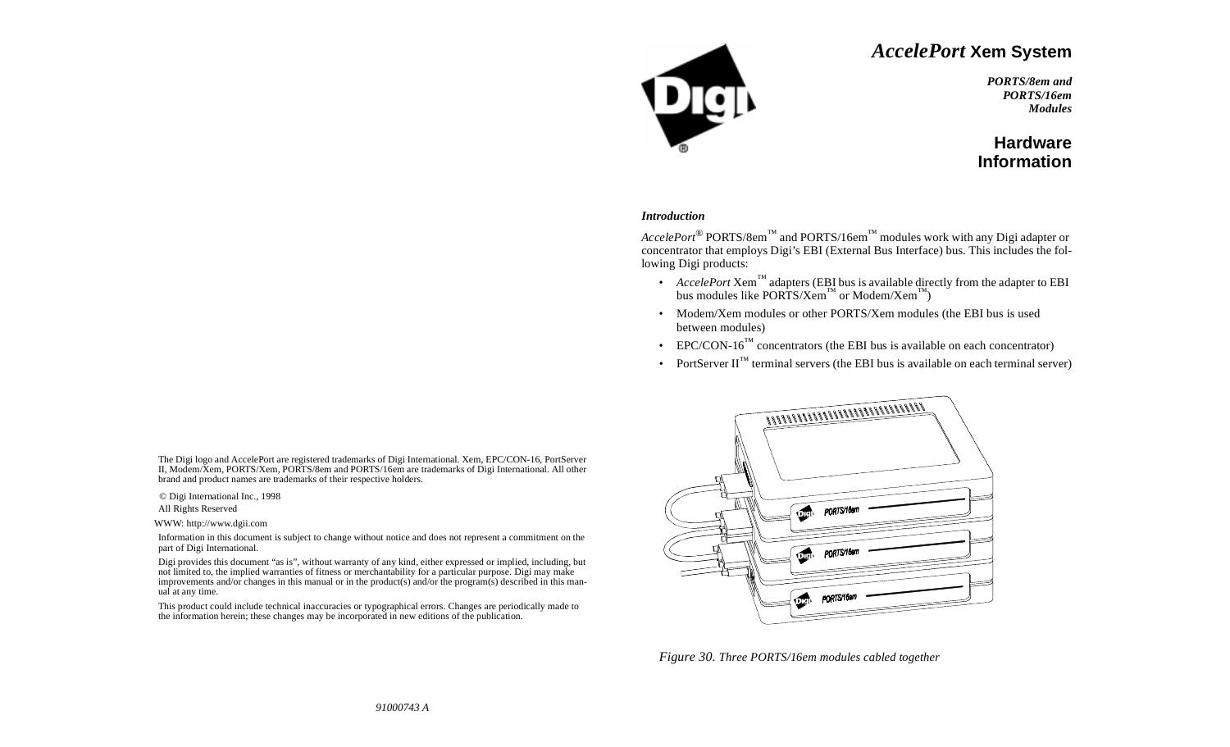# *AccelePort* **Xem System**



*PORTS/8em andPORTS/16emModules*

# **HardwareInformation**

#### *Introduction*

*AccelePort*® PORTS/8em™ and PORTS/16em™ modules work with any Digi adapter or concentrator that employs Digi's EBI (External Bus Interface) bus. This includes the following Digi products:

- *AccelePort* Xem™ adapters (EBI bus is available directly from the adapter to EBI bus modules like PORTS/Xem<sup>™</sup> or Modem/Xem<sup>™</sup>)
- Modem/Xem modules or other PORTS/Xem modules (the EBI bus is used between modules)
- EPC/CON-16<sup>™</sup> concentrators (the EBI bus is available on each concentrator)
- PortServer  $II^{\mathbb{M}}$  terminal servers (the EBI bus is available on each terminal server)



*Figure 30. Three PORTS/16em modules cabled together*

The Digi logo and AccelePort are registered trademarks of Digi International. Xem, EPC/CON-16, PortServer II, Modem/Xem, PORTS/Xem, PORTS/8em and PORTS/16em are trademarks of Digi International. All other brand and product names are trademarks of their respective holders.

© Digi International Inc., 1998

All Rights Reserved

WWW: http://www.dgii.com

Information in this document is subject to change without notice and does not represent a commitment on the part of Digi International.

Digi provides this document "as is", without warranty of any kind, either expressed or implied, including, but not limited to, the implied warranties of fitness or merchantability for a particular purpose. Digi may make improvements and/or changes in this manual or in the product(s) and/or the program(s) described in this manual at any time.

This product could include technical inaccuracies or typographical errors. Changes are periodically made to the information herein; these changes may be incorporated in new editions of the publication.